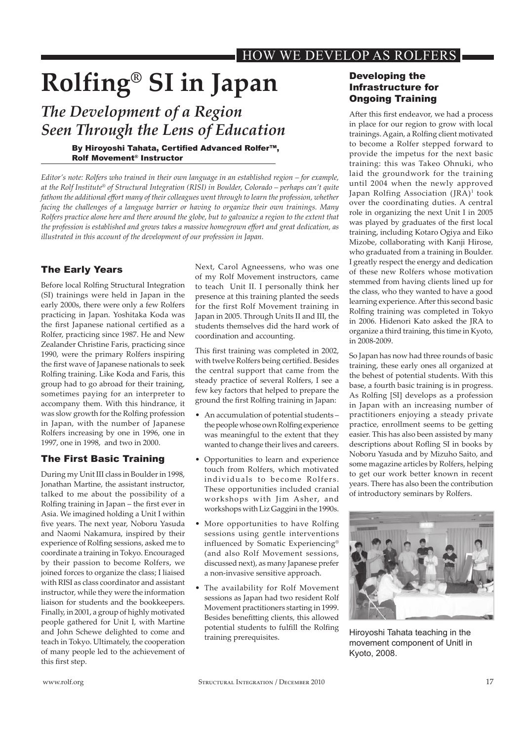# **Rolfing® SI in Japan**

## *The Development of a Region Seen Through the Lens of Education*

#### By Hiroyoshi Tahata, Certifed Advanced Rolfer™, Rolf movement® instructor

*Editor's note: Rolfers who trained in their own language in an established region – for example, at the Rolf Institute® of Structural Integration (RISI) in Boulder, Colorado – perhaps can't quite fathom the additional efort many of their colleagues went through to learn the profession, whether facing the challenges of a language barrier or having to organize their own trainings. Many Rolfers practice alone here and there around the globe, but to galvanize a region to the extent that the profession is established and grows takes a massive homegrown efort and great dedication, as illustrated in this account of the development of our profession in Japan.*

#### The Early Years

Before local Rolfng Structural Integration (SI) trainings were held in Japan in the early 2000s, there were only a few Rolfers practicing in Japan. Yoshitaka Koda was the frst Japanese national certifed as a Rolfer, practicing since 1987. He and New Zealander Christine Faris, practicing since 1990, were the primary Rolfers inspiring the first wave of Japanese nationals to seek Rolfng training. Like Koda and Faris, this group had to go abroad for their training, sometimes paying for an interpreter to accompany them. With this hindrance, it was slow growth for the Rolfing profession in Japan, with the number of Japanese Rolfers increasing by one in 1996, one in 1997, one in 1998, and two in 2000.

#### The First Basic Training

During my Unit III class in Boulder in 1998, Jonathan Martine, the assistant instructor, talked to me about the possibility of a Rolfng training in Japan – the frst ever in Asia. We imagined holding a Unit I within five years. The next year, Noboru Yasuda and Naomi Nakamura, inspired by their experience of Rolfng sessions, asked me to coordinate a training in Tokyo. Encouraged by their passion to become Rolfers, we joined forces to organize the class; I liaised with RISI as class coordinator and assistant instructor, while they were the information liaison for students and the bookkeepers. Finally, in 2001, a group of highly motivated people gathered for Unit I, with Martine and John Schewe delighted to come and teach in Tokyo. Ultimately, the cooperation of many people led to the achievement of this first step.

Next, Carol Agneessens, who was one of my Rolf Movement instructors, came to teach Unit II. I personally think her presence at this training planted the seeds for the first Rolf Movement training in Japan in 2005. Through Units II and III, the students themselves did the hard work of coordination and accounting.

This frst training was completed in 2002, with twelve Rolfers being certifed. Besides the central support that came from the steady practice of several Rolfers, I see a few key factors that helped to prepare the ground the frst Rolfng training in Japan:

- An accumulation of potential students the people whose own Rolfng experience was meaningful to the extent that they wanted to change their lives and careers.
- Opportunities to learn and experience touch from Rolfers, which motivated individuals to become Rolfers. These opportunities included cranial workshops with Jim Asher, and workshops with Liz Gaggini in the 1990s.
- More opportunities to have Rolfing sessions using gentle interventions influenced by Somatic Experiencing® (and also Rolf Movement sessions, discussed next), as many Japanese prefer a non-invasive sensitive approach.
- The availability for Rolf Movement sessions as Japan had two resident Rolf Movement practitioners starting in 1999. Besides benefting clients, this allowed potential students to fulfll the Rolfng training prerequisites.

#### Developing the infrastructure for **Ongoing Training**

After this first endeavor, we had a process in place for our region to grow with local trainings. Again, a Rolfng client motivated to become a Rolfer stepped forward to provide the impetus for the next basic training: this was Takeo Ohnuki, who laid the groundwork for the training until 2004 when the newly approved Japan Rolfing Association (JRA)<sup>1</sup> took over the coordinating duties. A central role in organizing the next Unit I in 2005 was played by graduates of the frst local training, including Kotaro Ogiya and Eiko Mizobe, collaborating with Kanji Hirose, who graduated from a training in Boulder. I greatly respect the energy and dedication of these new Rolfers whose motivation stemmed from having clients lined up for the class, who they wanted to have a good learning experience. After this second basic Rolfng training was completed in Tokyo in 2006. Hidenori Kato asked the JRA to organize a third training, this time in Kyoto, in 2008-2009.

So Japan has now had three rounds of basic training, these early ones all organized at the behest of potential students. With this base, a fourth basic training is in progress. As Rolfng [SI] develops as a profession in Japan with an increasing number of practitioners enjoying a steady private practice, enrollment seems to be geting easier. This has also been assisted by many descriptions about Rofing SI in books by Noboru Yasuda and by Mizuho Saito, and some magazine articles by Rolfers, helping to get our work better known in recent years. There has also been the contribution of introductory seminars by Rolfers.



Hiroyoshi Tahata teaching in the movement component of UnitI in Kyoto, 2008.